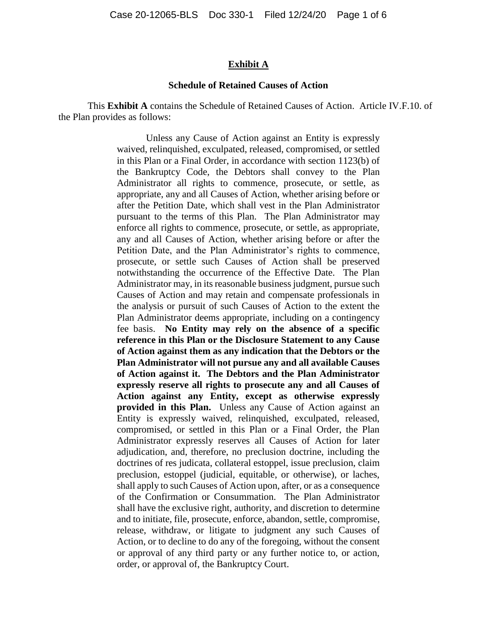#### **Exhibit A**

#### **Schedule of Retained Causes of Action**

This **Exhibit A** contains the Schedule of Retained Causes of Action. Article IV.F.10. of the Plan provides as follows:

> Unless any Cause of Action against an Entity is expressly waived, relinquished, exculpated, released, compromised, or settled in this Plan or a Final Order, in accordance with section 1123(b) of the Bankruptcy Code, the Debtors shall convey to the Plan Administrator all rights to commence, prosecute, or settle, as appropriate, any and all Causes of Action, whether arising before or after the Petition Date, which shall vest in the Plan Administrator pursuant to the terms of this Plan. The Plan Administrator may enforce all rights to commence, prosecute, or settle, as appropriate, any and all Causes of Action, whether arising before or after the Petition Date, and the Plan Administrator's rights to commence, prosecute, or settle such Causes of Action shall be preserved notwithstanding the occurrence of the Effective Date. The Plan Administrator may, in its reasonable business judgment, pursue such Causes of Action and may retain and compensate professionals in the analysis or pursuit of such Causes of Action to the extent the Plan Administrator deems appropriate, including on a contingency fee basis. **No Entity may rely on the absence of a specific reference in this Plan or the Disclosure Statement to any Cause of Action against them as any indication that the Debtors or the Plan Administrator will not pursue any and all available Causes of Action against it. The Debtors and the Plan Administrator expressly reserve all rights to prosecute any and all Causes of Action against any Entity, except as otherwise expressly provided in this Plan.** Unless any Cause of Action against an Entity is expressly waived, relinquished, exculpated, released, compromised, or settled in this Plan or a Final Order, the Plan Administrator expressly reserves all Causes of Action for later adjudication, and, therefore, no preclusion doctrine, including the doctrines of res judicata, collateral estoppel, issue preclusion, claim preclusion, estoppel (judicial, equitable, or otherwise), or laches, shall apply to such Causes of Action upon, after, or as a consequence of the Confirmation or Consummation. The Plan Administrator shall have the exclusive right, authority, and discretion to determine and to initiate, file, prosecute, enforce, abandon, settle, compromise, release, withdraw, or litigate to judgment any such Causes of Action, or to decline to do any of the foregoing, without the consent or approval of any third party or any further notice to, or action, order, or approval of, the Bankruptcy Court.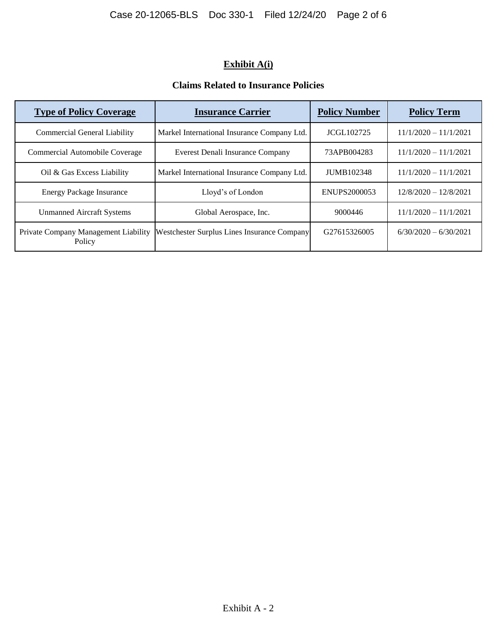# **Exhibit A(i)**

### **Claims Related to Insurance Policies**

| <b>Type of Policy Coverage</b>                 | <b>Insurance Carrier</b>                    | <b>Policy Number</b>     | <b>Policy Term</b>      |
|------------------------------------------------|---------------------------------------------|--------------------------|-------------------------|
| <b>Commercial General Liability</b>            | Markel International Insurance Company Ltd. | <b>JCGL102725</b>        | $11/1/2020 - 11/1/2021$ |
| Commercial Automobile Coverage                 | Everest Denali Insurance Company            | 73APB004283              | $11/1/2020 - 11/1/2021$ |
| Oil & Gas Excess Liability                     | Markel International Insurance Company Ltd. | JUMB102348               | $11/1/2020 - 11/1/2021$ |
| <b>Energy Package Insurance</b>                | Lloyd's of London                           | ENUPS2000053             | $12/8/2020 - 12/8/2021$ |
| <b>Unmanned Aircraft Systems</b>               | Global Aerospace, Inc.                      | 9000446                  | $11/1/2020 - 11/1/2021$ |
| Private Company Management Liability<br>Policy | Westchester Surplus Lines Insurance Company | G <sub>27615326005</sub> | $6/30/2020 - 6/30/2021$ |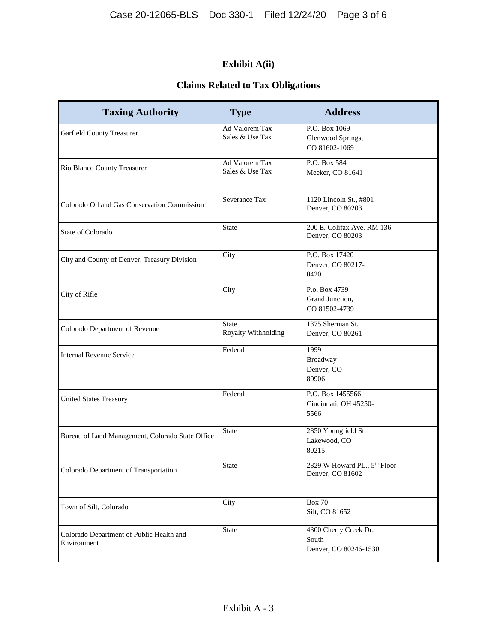# **Exhibit A(ii)**

## **Claims Related to Tax Obligations**

| <b>Taxing Authority</b>                                 | <b>Type</b>                         | <b>Address</b>                                                   |
|---------------------------------------------------------|-------------------------------------|------------------------------------------------------------------|
| Garfield County Treasurer                               | Ad Valorem Tax<br>Sales & Use Tax   | P.O. Box 1069<br>Glenwood Springs,<br>CO 81602-1069              |
| Rio Blanco County Treasurer                             | Ad Valorem Tax<br>Sales & Use Tax   | P.O. Box 584<br>Meeker, CO 81641                                 |
| Colorado Oil and Gas Conservation Commission            | Severance Tax                       | 1120 Lincoln St., #801<br>Denver, CO 80203                       |
| State of Colorado                                       | <b>State</b>                        | 200 E. Colifax Ave. RM 136<br>Denver, CO 80203                   |
| City and County of Denver, Treasury Division            | City                                | P.O. Box 17420<br>Denver, CO 80217-<br>0420                      |
| City of Rifle                                           | City                                | P.o. Box 4739<br>Grand Junction,<br>CO 81502-4739                |
| Colorado Department of Revenue                          | <b>State</b><br>Royalty Withholding | 1375 Sherman St.<br>Denver, CO 80261                             |
| <b>Internal Revenue Service</b>                         | Federal                             | 1999<br>Broadway<br>Denver, CO<br>80906                          |
| <b>United States Treasury</b>                           | Federal                             | P.O. Box 1455566<br>Cincinnati, OH 45250-<br>5566                |
| Bureau of Land Management, Colorado State Office        | <b>State</b>                        | 2850 Youngfield St<br>Lakewood, CO<br>80215                      |
| Colorado Department of Transportation                   | <b>State</b>                        | 2829 W Howard PL., $5^{\overline{th}}$ Floor<br>Denver, CO 81602 |
| Town of Silt, Colorado                                  | City                                | <b>Box 70</b><br>Silt, CO 81652                                  |
| Colorado Department of Public Health and<br>Environment | <b>State</b>                        | 4300 Cherry Creek Dr.<br>South<br>Denver, CO 80246-1530          |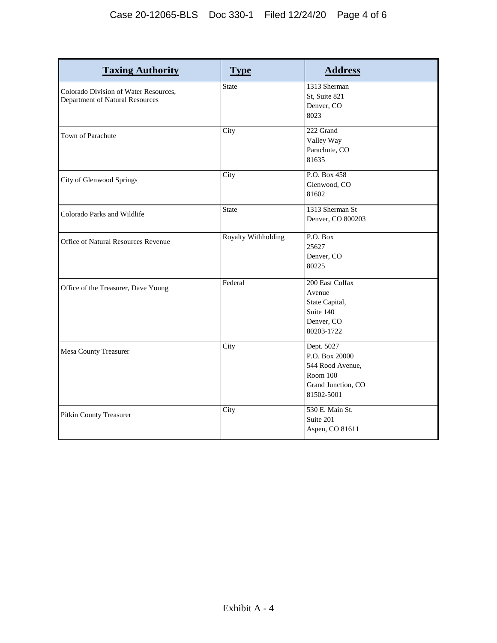| <b>Taxing Authority</b>                                                  | <b>Type</b>                | <b>Address</b>                                                                                   |
|--------------------------------------------------------------------------|----------------------------|--------------------------------------------------------------------------------------------------|
| Colorado Division of Water Resources,<br>Department of Natural Resources | <b>State</b>               | 1313 Sherman<br>St, Suite 821<br>Denver, CO<br>8023                                              |
| Town of Parachute                                                        | City                       | 222 Grand<br>Valley Way<br>Parachute, CO<br>81635                                                |
| City of Glenwood Springs                                                 | City                       | P.O. Box 458<br>Glenwood, CO<br>81602                                                            |
| Colorado Parks and Wildlife                                              | <b>State</b>               | 1313 Sherman St<br>Denver, CO 800203                                                             |
| Office of Natural Resources Revenue                                      | <b>Royalty Withholding</b> | P.O. Box<br>25627<br>Denver, CO<br>80225                                                         |
| Office of the Treasurer, Dave Young                                      | Federal                    | 200 East Colfax<br>Avenue<br>State Capital,<br>Suite 140<br>Denver, CO<br>80203-1722             |
| <b>Mesa County Treasurer</b>                                             | City                       | Dept. 5027<br>P.O. Box 20000<br>544 Rood Avenue,<br>Room 100<br>Grand Junction, CO<br>81502-5001 |
| Pitkin County Treasurer                                                  | City                       | 530 E. Main St.<br>Suite 201<br>Aspen, CO 81611                                                  |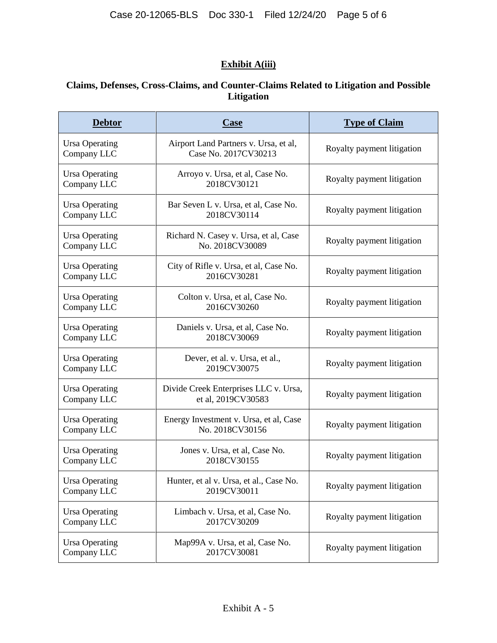## **Exhibit A(iii)**

### **Claims, Defenses, Cross-Claims, and Counter-Claims Related to Litigation and Possible Litigation**

| <b>Debtor</b>                        | <b>Case</b>                                                   | <b>Type of Claim</b>       |
|--------------------------------------|---------------------------------------------------------------|----------------------------|
| <b>Ursa Operating</b><br>Company LLC | Airport Land Partners v. Ursa, et al,<br>Case No. 2017CV30213 | Royalty payment litigation |
| <b>Ursa Operating</b><br>Company LLC | Arroyo v. Ursa, et al, Case No.<br>2018CV30121                | Royalty payment litigation |
| <b>Ursa Operating</b><br>Company LLC | Bar Seven L v. Ursa, et al, Case No.<br>2018CV30114           | Royalty payment litigation |
| <b>Ursa Operating</b><br>Company LLC | Richard N. Casey v. Ursa, et al, Case<br>No. 2018CV30089      | Royalty payment litigation |
| <b>Ursa Operating</b><br>Company LLC | City of Rifle v. Ursa, et al, Case No.<br>2016CV30281         | Royalty payment litigation |
| <b>Ursa Operating</b><br>Company LLC | Colton v. Ursa, et al, Case No.<br>2016CV30260                | Royalty payment litigation |
| <b>Ursa Operating</b><br>Company LLC | Daniels v. Ursa, et al, Case No.<br>2018CV30069               | Royalty payment litigation |
| <b>Ursa Operating</b><br>Company LLC | Dever, et al. v. Ursa, et al.,<br>2019CV30075                 | Royalty payment litigation |
| <b>Ursa Operating</b><br>Company LLC | Divide Creek Enterprises LLC v. Ursa,<br>et al, 2019CV30583   | Royalty payment litigation |
| <b>Ursa Operating</b><br>Company LLC | Energy Investment v. Ursa, et al, Case<br>No. 2018CV30156     | Royalty payment litigation |
| <b>Ursa Operating</b><br>Company LLC | Jones v. Ursa, et al, Case No.<br>2018CV30155                 | Royalty payment litigation |
| <b>Ursa Operating</b><br>Company LLC | Hunter, et al v. Ursa, et al., Case No.<br>2019CV30011        | Royalty payment litigation |
| <b>Ursa Operating</b><br>Company LLC | Limbach v. Ursa, et al, Case No.<br>2017CV30209               | Royalty payment litigation |
| <b>Ursa Operating</b><br>Company LLC | Map99A v. Ursa, et al, Case No.<br>2017CV30081                | Royalty payment litigation |